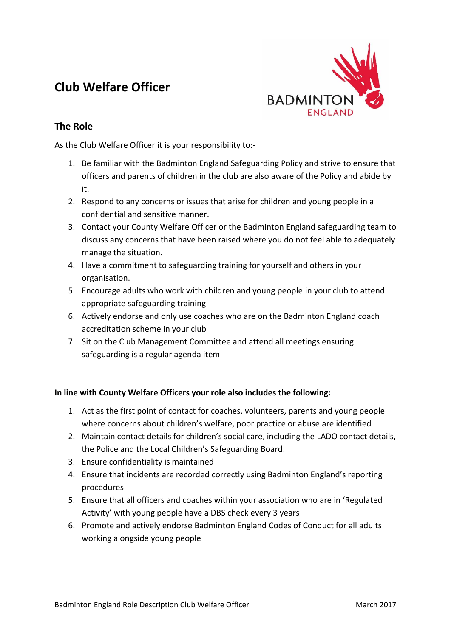# **Club Welfare Officer**



## **The Role**

As the Club Welfare Officer it is your responsibility to:-

- 1. Be familiar with the Badminton England Safeguarding Policy and strive to ensure that officers and parents of children in the club are also aware of the Policy and abide by it.
- 2. Respond to any concerns or issues that arise for children and young people in a confidential and sensitive manner.
- 3. Contact your County Welfare Officer or the Badminton England safeguarding team to discuss any concerns that have been raised where you do not feel able to adequately manage the situation.
- 4. Have a commitment to safeguarding training for yourself and others in your organisation.
- 5. Encourage adults who work with children and young people in your club to attend appropriate safeguarding training
- 6. Actively endorse and only use coaches who are on the Badminton England coach accreditation scheme in your club
- 7. Sit on the Club Management Committee and attend all meetings ensuring safeguarding is a regular agenda item

### **In line with County Welfare Officers your role also includes the following:**

- 1. Act as the first point of contact for coaches, volunteers, parents and young people where concerns about children's welfare, poor practice or abuse are identified
- 2. Maintain contact details for children's social care, including the LADO contact details, the Police and the Local Children's Safeguarding Board.
- 3. Ensure confidentiality is maintained
- 4. Ensure that incidents are recorded correctly using Badminton England's reporting procedures
- 5. Ensure that all officers and coaches within your association who are in 'Regulated Activity' with young people have a DBS check every 3 years
- 6. Promote and actively endorse Badminton England Codes of Conduct for all adults working alongside young people